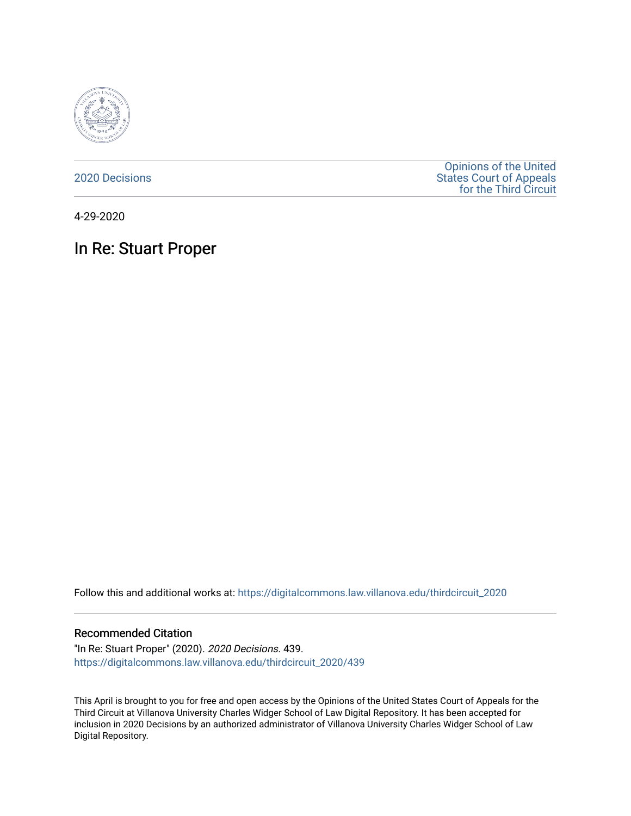

[2020 Decisions](https://digitalcommons.law.villanova.edu/thirdcircuit_2020)

[Opinions of the United](https://digitalcommons.law.villanova.edu/thirdcircuit)  [States Court of Appeals](https://digitalcommons.law.villanova.edu/thirdcircuit)  [for the Third Circuit](https://digitalcommons.law.villanova.edu/thirdcircuit) 

4-29-2020

# In Re: Stuart Proper

Follow this and additional works at: [https://digitalcommons.law.villanova.edu/thirdcircuit\\_2020](https://digitalcommons.law.villanova.edu/thirdcircuit_2020?utm_source=digitalcommons.law.villanova.edu%2Fthirdcircuit_2020%2F439&utm_medium=PDF&utm_campaign=PDFCoverPages) 

### Recommended Citation

"In Re: Stuart Proper" (2020). 2020 Decisions. 439. [https://digitalcommons.law.villanova.edu/thirdcircuit\\_2020/439](https://digitalcommons.law.villanova.edu/thirdcircuit_2020/439?utm_source=digitalcommons.law.villanova.edu%2Fthirdcircuit_2020%2F439&utm_medium=PDF&utm_campaign=PDFCoverPages)

This April is brought to you for free and open access by the Opinions of the United States Court of Appeals for the Third Circuit at Villanova University Charles Widger School of Law Digital Repository. It has been accepted for inclusion in 2020 Decisions by an authorized administrator of Villanova University Charles Widger School of Law Digital Repository.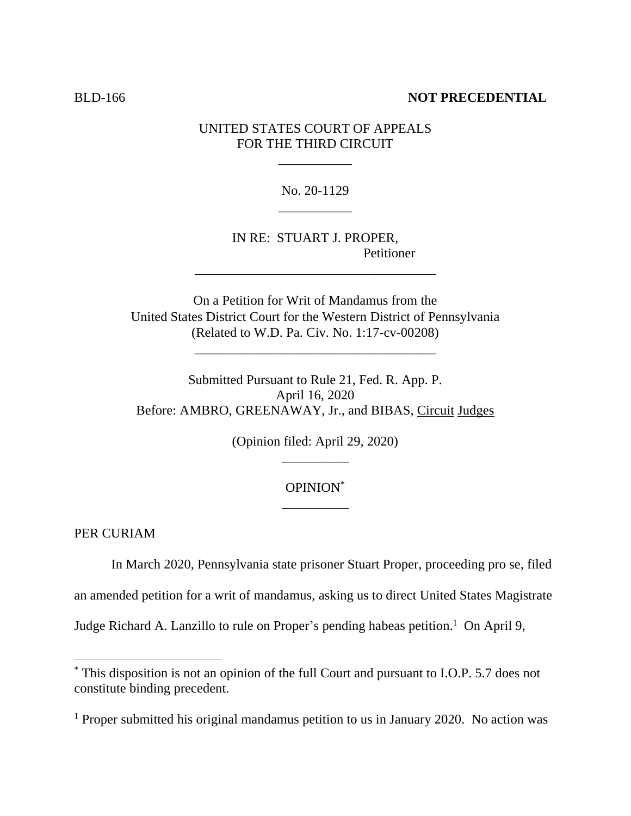### **BLD-166 NOT PRECEDENTIAL**

### UNITED STATES COURT OF APPEALS FOR THE THIRD CIRCUIT

\_\_\_\_\_\_\_\_\_\_\_

No. 20-1129 \_\_\_\_\_\_\_\_\_\_\_

IN RE: STUART J. PROPER, Petitioner

On a Petition for Writ of Mandamus from the United States District Court for the Western District of Pennsylvania (Related to W.D. Pa. Civ. No. 1:17-cv-00208)

\_\_\_\_\_\_\_\_\_\_\_\_\_\_\_\_\_\_\_\_\_\_\_\_\_\_\_\_\_\_\_\_\_\_\_\_

\_\_\_\_\_\_\_\_\_\_\_\_\_\_\_\_\_\_\_\_\_\_\_\_\_\_\_\_\_\_\_\_\_\_\_\_

Submitted Pursuant to Rule 21, Fed. R. App. P. April 16, 2020 Before: AMBRO, GREENAWAY, Jr., and BIBAS, Circuit Judges

> (Opinion filed: April 29, 2020)  $\overline{\phantom{a}}$  , where  $\overline{\phantom{a}}$

## OPINION\* \_\_\_\_\_\_\_\_\_\_

PER CURIAM

In March 2020, Pennsylvania state prisoner Stuart Proper, proceeding pro se, filed

an amended petition for a writ of mandamus, asking us to direct United States Magistrate

Judge Richard A. Lanzillo to rule on Proper's pending habeas petition.<sup>1</sup> On April 9,

<sup>\*</sup> This disposition is not an opinion of the full Court and pursuant to I.O.P. 5.7 does not constitute binding precedent.

<sup>&</sup>lt;sup>1</sup> Proper submitted his original mandamus petition to us in January 2020. No action was